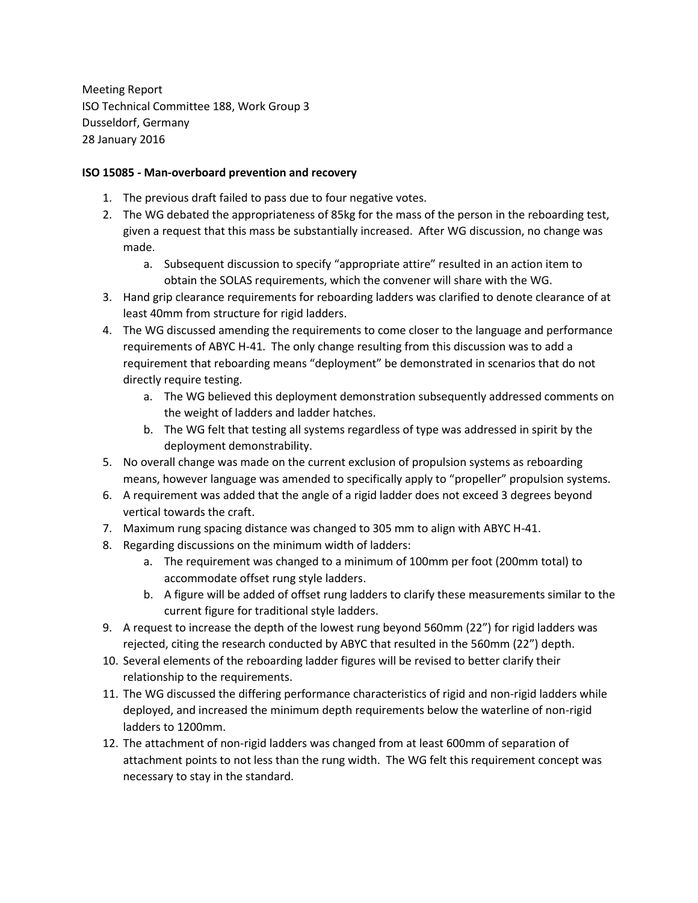Meeting Report ISO Technical Committee 188, Work Group 3 Dusseldorf, Germany 28 January 2016

## **ISO 15085 - Man-overboard prevention and recovery**

- 1. The previous draft failed to pass due to four negative votes.
- 2. The WG debated the appropriateness of 85kg for the mass of the person in the reboarding test, given a request that this mass be substantially increased. After WG discussion, no change was made.
	- a. Subsequent discussion to specify "appropriate attire" resulted in an action item to obtain the SOLAS requirements, which the convener will share with the WG.
- 3. Hand grip clearance requirements for reboarding ladders was clarified to denote clearance of at least 40mm from structure for rigid ladders.
- 4. The WG discussed amending the requirements to come closer to the language and performance requirements of ABYC H-41. The only change resulting from this discussion was to add a requirement that reboarding means "deployment" be demonstrated in scenarios that do not directly require testing.
	- a. The WG believed this deployment demonstration subsequently addressed comments on the weight of ladders and ladder hatches.
	- b. The WG felt that testing all systems regardless of type was addressed in spirit by the deployment demonstrability.
- 5. No overall change was made on the current exclusion of propulsion systems as reboarding means, however language was amended to specifically apply to "propeller" propulsion systems.
- 6. A requirement was added that the angle of a rigid ladder does not exceed 3 degrees beyond vertical towards the craft.
- 7. Maximum rung spacing distance was changed to 305 mm to align with ABYC H-41.
- 8. Regarding discussions on the minimum width of ladders:
	- a. The requirement was changed to a minimum of 100mm per foot (200mm total) to accommodate offset rung style ladders.
	- b. A figure will be added of offset rung ladders to clarify these measurements similar to the current figure for traditional style ladders.
- 9. A request to increase the depth of the lowest rung beyond 560mm (22") for rigid ladders was rejected, citing the research conducted by ABYC that resulted in the 560mm (22") depth.
- 10. Several elements of the reboarding ladder figures will be revised to better clarify their relationship to the requirements.
- 11. The WG discussed the differing performance characteristics of rigid and non-rigid ladders while deployed, and increased the minimum depth requirements below the waterline of non-rigid ladders to 1200mm.
- 12. The attachment of non-rigid ladders was changed from at least 600mm of separation of attachment points to not less than the rung width. The WG felt this requirement concept was necessary to stay in the standard.